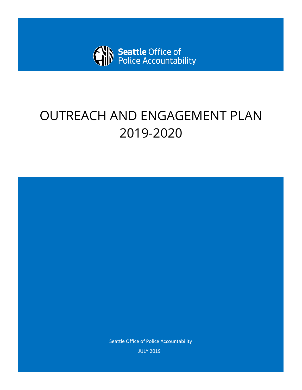

# OUTREACH AND ENGAGEMENT PLAN 2019-2020

Seattle Office of Police Accountability JULY 2019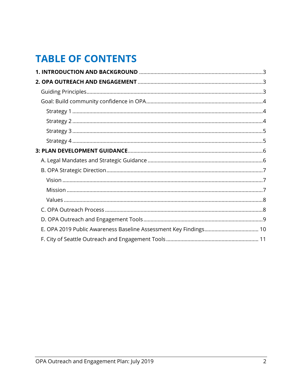## **TABLE OF CONTENTS**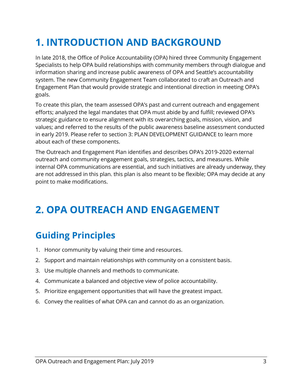## <span id="page-2-0"></span>**1. INTRODUCTION AND BACKGROUND**

In late 2018, the Office of Police Accountability (OPA) hired three Community Engagement Specialists to help OPA build relationships with community members through dialogue and information sharing and increase public awareness of OPA and Seattle's accountability system. The new Community Engagement Team collaborated to craft an Outreach and Engagement Plan that would provide strategic and intentional direction in meeting OPA's goals.

To create this plan, the team assessed OPA's past and current outreach and engagement efforts; analyzed the legal mandates that OPA must abide by and fulfill; reviewed OPA's strategic guidance to ensure alignment with its overarching goals, mission, vision, and values; and referred to the results of the public awareness baseline assessment conducted in early 2019. Please refer to section [3: PLAN DEVELOPMENT GUIDANCE](#page-5-0) to learn more about each of these components.

The Outreach and Engagement Plan identifies and describes OPA's 2019-2020 external outreach and community engagement goals, strategies, tactics, and measures. While internal OPA communications are essential, and such initiatives are already underway, they are not addressed in this plan. this plan is also meant to be flexible; OPA may decide at any point to make modifications.

## <span id="page-2-1"></span>**2. OPA OUTREACH AND ENGAGEMENT**

## <span id="page-2-2"></span>**Guiding Principles**

- 1. Honor community by valuing their time and resources.
- 2. Support and maintain relationships with community on a consistent basis.
- 3. Use multiple channels and methods to communicate.
- 4. Communicate a balanced and objective view of police accountability.
- 5. Prioritize engagement opportunities that will have the greatest impact.
- <span id="page-2-3"></span>6. Convey the realities of what OPA can and cannot do as an organization.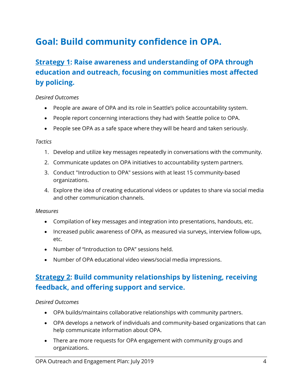## **Goal: Build community confidence in OPA.**

## <span id="page-3-0"></span>**Strategy 1: Raise awareness and understanding of OPA through education and outreach, focusing on communities most affected by policing.**

#### *Desired Outcomes*

- People are aware of OPA and its role in Seattle's police accountability system.
- People report concerning interactions they had with Seattle police to OPA.
- People see OPA as a safe space where they will be heard and taken seriously.

#### *Tactics*

- 1. Develop and utilize key messages repeatedly in conversations with the community.
- 2. Communicate updates on OPA initiatives to accountability system partners.
- 3. Conduct "Introduction to OPA" sessions with at least 15 community-based organizations.
- 4. Explore the idea of creating educational videos or updates to share via social media and other communication channels.

#### *Measures*

- Compilation of key messages and integration into presentations, handouts, etc.
- Increased public awareness of OPA, as measured via surveys, interview follow-ups, etc.
- Number of "Introduction to OPA" sessions held.
- Number of OPA educational video views/social media impressions.

## <span id="page-3-1"></span>**Strategy 2: Build community relationships by listening, receiving feedback, and offering support and service.**

#### *Desired Outcomes*

- OPA builds/maintains collaborative relationships with community partners.
- OPA develops a network of individuals and community-based organizations that can help communicate information about OPA.
- There are more requests for OPA engagement with community groups and organizations.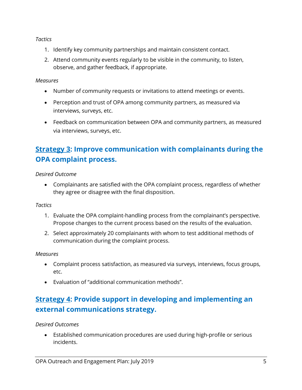*Tactics*

- 1. Identify key community partnerships and maintain consistent contact.
- 2. Attend community events regularly to be visible in the community, to listen, observe, and gather feedback, if appropriate.

*Measures*

- Number of community requests or invitations to attend meetings or events.
- Perception and trust of OPA among community partners, as measured via interviews, surveys, etc.
- Feedback on communication between OPA and community partners, as measured via interviews, surveys, etc.

## <span id="page-4-0"></span>**Strategy 3: Improve communication with complainants during the OPA complaint process.**

*Desired Outcome*

• Complainants are satisfied with the OPA complaint process, regardless of whether they agree or disagree with the final disposition.

*Tactics*

- 1. Evaluate the OPA complaint-handling process from the complainant's perspective. Propose changes to the current process based on the results of the evaluation.
- 2. Select approximately 20 complainants with whom to test additional methods of communication during the complaint process.

### *Measures*

- Complaint process satisfaction, as measured via surveys, interviews, focus groups, etc.
- Evaluation of "additional communication methods".

## <span id="page-4-1"></span>**Strategy 4: Provide support in developing and implementing an external communications strategy.**

*Desired Outcomes*

• Established communication procedures are used during high-profile or serious incidents.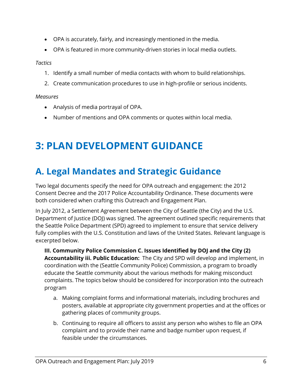- OPA is accurately, fairly, and increasingly mentioned in the media.
- OPA is featured in more community-driven stories in local media outlets.

*Tactics*

- 1. Identify a small number of media contacts with whom to build relationships.
- 2. Create communication procedures to use in high-profile or serious incidents.

*Measures*

- Analysis of media portrayal of OPA.
- <span id="page-5-0"></span>• Number of mentions and OPA comments or quotes within local media.

## **3: PLAN DEVELOPMENT GUIDANCE**

## <span id="page-5-1"></span>**A. Legal Mandates and Strategic Guidance**

Two legal documents specify the need for OPA outreach and engagement: the 2012 Consent Decree and the 2017 Police Accountability Ordinance. These documents were both considered when crafting this Outreach and Engagement Plan.

In July 2012, a Settlement Agreement between the City of Seattle (the City) and the U.S. Department of Justice (DOJ) was signed. The agreement outlined specific requirements that the Seattle Police Department (SPD) agreed to implement to ensure that service delivery fully complies with the U.S. Constitution and laws of the United States. Relevant language is excerpted below.

**III. Community Police Commission C. Issues Identified by DOJ and the City (2) Accountability iii. Public Education:** The City and SPD will develop and implement, in coordination with the (Seattle Community Police) Commission, a program to broadly educate the Seattle community about the various methods for making misconduct complaints. The topics below should be considered for incorporation into the outreach program

- a. Making complaint forms and informational materials, including brochures and posters, available at appropriate city government properties and at the offices or gathering places of community groups.
- b. Continuing to require all officers to assist any person who wishes to file an OPA complaint and to provide their name and badge number upon request, if feasible under the circumstances.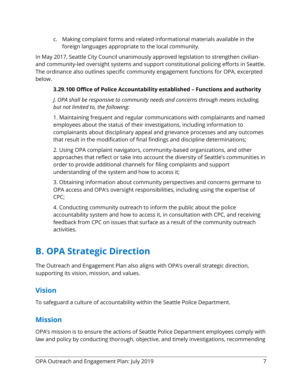c. Making complaint forms and related informational materials available in the foreign languages appropriate to the local community.

In May 2017, Seattle City Council unanimously approved legislation to strengthen civilianand community-led oversight systems and support constitutional policing efforts in Seattle. The ordinance also outlines specific community engagement functions for OPA, excerpted below.

### **3.29.100 Office of Police Accountability established – Functions and authority**

*J. OPA shall be responsive to community needs and concerns through means including, but not limited to, the following:*

1. Maintaining frequent and regular communications with complainants and named employees about the status of their investigations, including information to complainants about disciplinary appeal and grievance processes and any outcomes that result in the modification of final findings and discipline determinations;

2. Using OPA complaint navigators, community-based organizations, and other approaches that reflect or take into account the diversity of Seattle's communities in order to provide additional channels for filing complaints and support understanding of the system and how to access it;

3. Obtaining information about community perspectives and concerns germane to OPA access and OPA's oversight responsibilities, including using the expertise of CPC;

4. Conducting community outreach to inform the public about the police accountability system and how to access it, in consultation with CPC, and receiving feedback from CPC on issues that surface as a result of the community outreach activities.

## <span id="page-6-0"></span>**B. OPA Strategic Direction**

The Outreach and Engagement Plan also aligns with OPA's overall strategic direction, supporting its vision, mission, and values.

### <span id="page-6-1"></span>**Vision**

To safeguard a culture of accountability within the Seattle Police Department.

### <span id="page-6-2"></span>**Mission**

OPA's mission is to ensure the actions of Seattle Police Department employees comply with law and policy by conducting thorough, objective, and timely investigations, recommending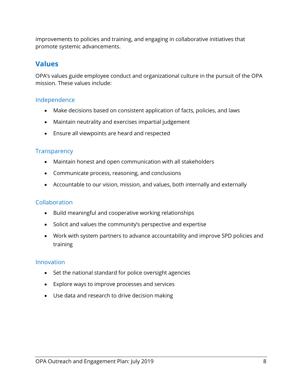improvements to policies and training, and engaging in collaborative initiatives that promote systemic advancements.

### <span id="page-7-0"></span>**Values**

OPA's values guide employee conduct and organizational culture in the pursuit of the OPA mission. These values include:

### Independence

- Make decisions based on consistent application of facts, policies, and laws
- Maintain neutrality and exercises impartial judgement
- Ensure all viewpoints are heard and respected

### **Transparency**

- Maintain honest and open communication with all stakeholders
- Communicate process, reasoning, and conclusions
- Accountable to our vision, mission, and values, both internally and externally

### Collaboration

- Build meaningful and cooperative working relationships
- Solicit and values the community's perspective and expertise
- Work with system partners to advance accountability and improve SPD policies and training

### Innovation

- Set the national standard for police oversight agencies
- Explore ways to improve processes and services
- <span id="page-7-1"></span>• Use data and research to drive decision making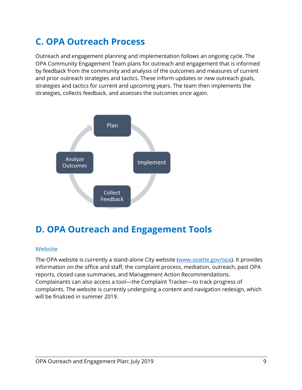## **C. OPA Outreach Process**

Outreach and engagement planning and implementation follows an ongoing cycle. The OPA Community Engagement Team plans for outreach and engagement that is informed by feedback from the community and analysis of the outcomes and measures of current and prior outreach strategies and tactics. These inform updates or new outreach goals, strategies and tactics for current and upcoming years. The team then implements the strategies, collects feedback, and assesses the outcomes once again.



## <span id="page-8-0"></span>**D. OPA Outreach and Engagement Tools**

#### **Website**

The OPA website is currently a stand-alone City website [\(www.seattle.gov/opa\)](http://www.seattle.gov/opa). It provides information on the office and staff, the complaint process, mediation, outreach, past OPA reports, closed case summaries, and Management Action Recommendations. Complainants can also access a tool—the Complaint Tracker—to track progress of complaints. The website is currently undergoing a content and navigation redesign, which will be finalized in summer 2019.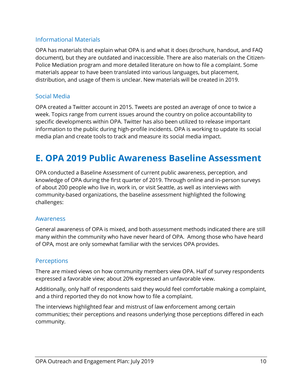### Informational Materials

OPA has materials that explain what OPA is and what it does (brochure, handout, and FAQ document), but they are outdated and inaccessible. There are also materials on the Citizen-Police Mediation program and more detailed literature on how to file a complaint. Some materials appear to have been translated into various languages, but placement, distribution, and usage of them is unclear. New materials will be created in 2019.

### Social Media

OPA created a Twitter account in 2015. Tweets are posted an average of once to twice a week. Topics range from current issues around the country on police accountability to specific developments within OPA. Twitter has also been utilized to release important information to the public during high-profile incidents. OPA is working to update its social media plan and create tools to track and measure its social media impact.

## <span id="page-9-0"></span>**E. OPA 2019 Public Awareness Baseline Assessment**

OPA conducted a Baseline Assessment of current public awareness, perception, and knowledge of OPA during the first quarter of 2019. Through online and in-person surveys of about 200 people who live in, work in, or visit Seattle, as well as interviews with community-based organizations, the baseline assessment highlighted the following challenges:

#### Awareness

General awareness of OPA is mixed, and both assessment methods indicated there are still many within the community who have never heard of OPA. Among those who have heard of OPA, most are only somewhat familiar with the services OPA provides.

#### **Perceptions**

There are mixed views on how community members view OPA. Half of survey respondents expressed a favorable view; about 20% expressed an unfavorable view.

Additionally, only half of respondents said they would feel comfortable making a complaint, and a third reported they do not know how to file a complaint.

The interviews highlighted fear and mistrust of law enforcement among certain communities; their perceptions and reasons underlying those perceptions differed in each community.